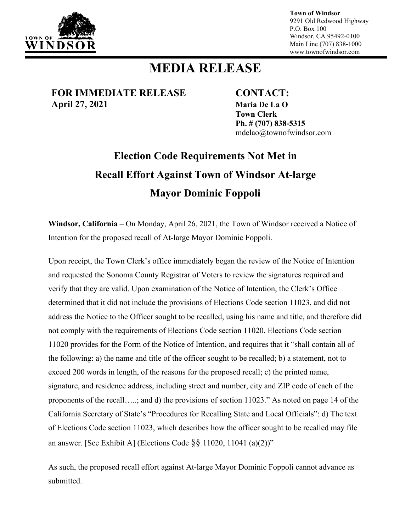

**Town of Windsor** 9291 Old Redwood Highway P.O. Box 100 Windsor, CA 95492-0100 Main Line (707) 838-1000 www.townofwindsor.com

## **MEDIA RELEASE**

**FOR IMMEDIATE RELEASE CONTACT: April 27, 2021 Maria De La O**

**Town Clerk Ph. # (707) 838-5315** mdelao@townofwindsor.com

## **Election Code Requirements Not Met in Recall Effort Against Town of Windsor At-large Mayor Dominic Foppoli**

**Windsor, California** – On Monday, April 26, 2021, the Town of Windsor received a Notice of Intention for the proposed recall of At-large Mayor Dominic Foppoli.

Upon receipt, the Town Clerk's office immediately began the review of the Notice of Intention and requested the Sonoma County Registrar of Voters to review the signatures required and verify that they are valid. Upon examination of the Notice of Intention, the Clerk's Office determined that it did not include the provisions of Elections Code section 11023, and did not address the Notice to the Officer sought to be recalled, using his name and title, and therefore did not comply with the requirements of Elections Code section 11020. Elections Code section 11020 provides for the Form of the Notice of Intention, and requires that it "shall contain all of the following: a) the name and title of the officer sought to be recalled; b) a statement, not to exceed 200 words in length, of the reasons for the proposed recall; c) the printed name, signature, and residence address, including street and number, city and ZIP code of each of the proponents of the recall…..; and d) the provisions of section 11023." As noted on page 14 of the California Secretary of State's "Procedures for Recalling State and Local Officials": d) The text of Elections Code section 11023, which describes how the officer sought to be recalled may file an answer. [See Exhibit A] (Elections Code §§ 11020, 11041 (a)(2))"

As such, the proposed recall effort against At-large Mayor Dominic Foppoli cannot advance as submitted.